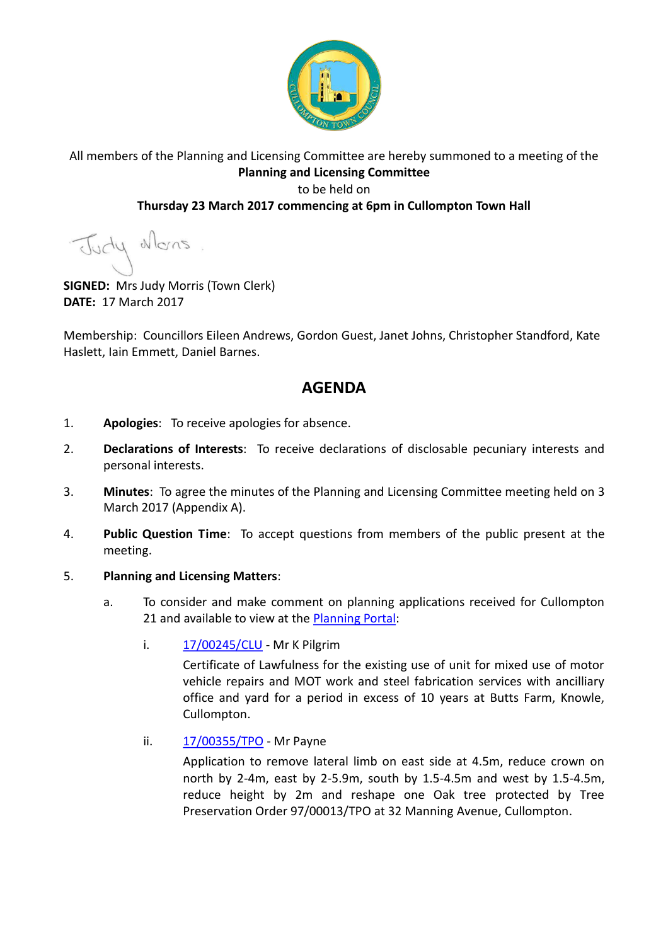

## All members of the Planning and Licensing Committee are hereby summoned to a meeting of the **Planning and Licensing Committee** to be held on

### **Thursday 23 March 2017 commencing at 6pm in Cullompton Town Hall**

Judy Mons

**SIGNED:** Mrs Judy Morris (Town Clerk) **DATE:** 17 March 2017

Membership: Councillors Eileen Andrews, Gordon Guest, Janet Johns, Christopher Standford, Kate Haslett, Iain Emmett, Daniel Barnes.

# **AGENDA**

- 1. **Apologies**: To receive apologies for absence.
- 2. **Declarations of Interests**: To receive declarations of disclosable pecuniary interests and personal interests.
- 3. **Minutes**: To agree the minutes of the Planning and Licensing Committee meeting held on 3 March 2017 (Appendix A).
- 4. **Public Question Time**: To accept questions from members of the public present at the meeting.

#### 5. **Planning and Licensing Matters**:

- a. To consider and make comment on planning applications received for Cullompton 21 and available to view at the **Planning Portal:** 
	- i. [17/00245/CLU](https://planning.middevon.gov.uk/online-applications/applicationDetails.do?activeTab=documents&keyVal=OLBH8ZKS02T00)  Mr K Pilgrim

Certificate of Lawfulness for the existing use of unit for mixed use of motor vehicle repairs and MOT work and steel fabrication services with ancilliary office and yard for a period in excess of 10 years at Butts Farm, Knowle, Cullompton.

ii. [17/00355/TPO](https://planning.middevon.gov.uk/online-applications/applicationDetails.do?activeTab=documents&keyVal=OM6LJDKS04G00) - Mr Payne

Application to remove lateral limb on east side at 4.5m, reduce crown on north by 2-4m, east by 2-5.9m, south by 1.5-4.5m and west by 1.5-4.5m, reduce height by 2m and reshape one Oak tree protected by Tree Preservation Order 97/00013/TPO at 32 Manning Avenue, Cullompton.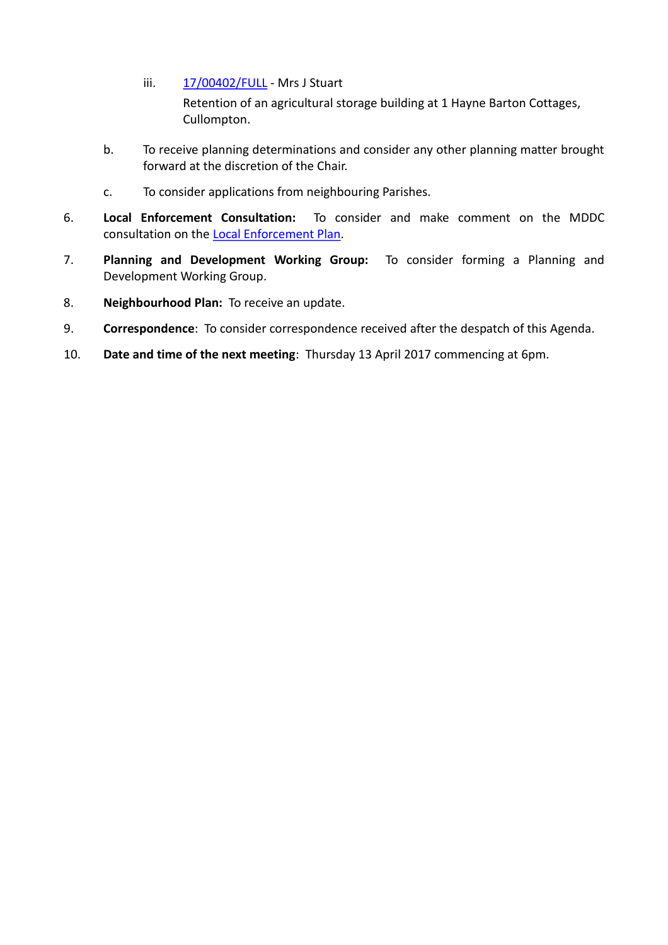iii. [17/00402/FULL](https://planning.middevon.gov.uk/online-applications/applicationDetails.do?activeTab=documents&keyVal=OMI1MSKS04G00) - Mrs J Stuart

Retention of an agricultural storage building at 1 Hayne Barton Cottages, Cullompton.

- b. To receive planning determinations and consider any other planning matter brought forward at the discretion of the Chair.
- c. To consider applications from neighbouring Parishes.
- 6. **Local Enforcement Consultation:** To consider and make comment on the MDDC consultation on the [Local Enforcement Plan.](https://www.middevon.gov.uk/media/343173/local-enforcement-plan-march-2017-consultation.pdf)
- 7. **Planning and Development Working Group:** To consider forming a Planning and Development Working Group.
- 8. **Neighbourhood Plan:** To receive an update.
- 9. **Correspondence**: To consider correspondence received after the despatch of this Agenda.
- 10. **Date and time of the next meeting**: Thursday 13 April 2017 commencing at 6pm.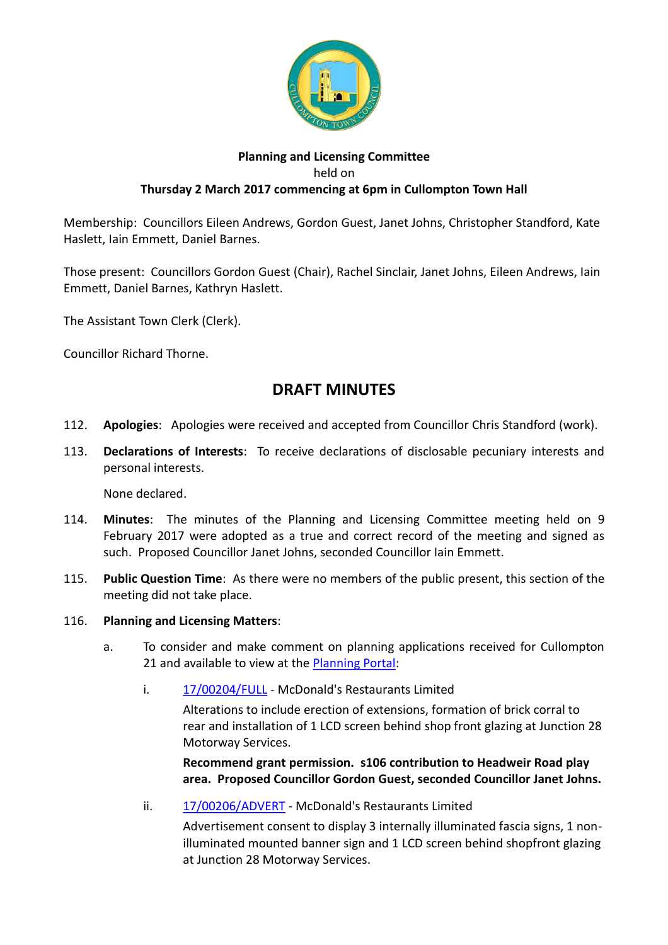

### **Planning and Licensing Committee** held on **Thursday 2 March 2017 commencing at 6pm in Cullompton Town Hall**

Membership: Councillors Eileen Andrews, Gordon Guest, Janet Johns, Christopher Standford, Kate Haslett, Iain Emmett, Daniel Barnes.

Those present: Councillors Gordon Guest (Chair), Rachel Sinclair, Janet Johns, Eileen Andrews, Iain Emmett, Daniel Barnes, Kathryn Haslett.

The Assistant Town Clerk (Clerk).

Councillor Richard Thorne.

# **DRAFT MINUTES**

- 112. **Apologies**: Apologies were received and accepted from Councillor Chris Standford (work).
- 113. **Declarations of Interests**: To receive declarations of disclosable pecuniary interests and personal interests.

None declared.

- 114. **Minutes**: The minutes of the Planning and Licensing Committee meeting held on 9 February 2017 were adopted as a true and correct record of the meeting and signed as such. Proposed Councillor Janet Johns, seconded Councillor Iain Emmett.
- 115. **Public Question Time**: As there were no members of the public present, this section of the meeting did not take place.
- 116. **Planning and Licensing Matters**:
	- a. To consider and make comment on planning applications received for Cullompton 21 and available to view at the [Planning Portal:](https://planning.middevon.gov.uk/online-applications/applicationDetails.do?activeTab=documents&keyVal=OG45QSKS07T00)
		- i. [17/00204/FULL](https://planning.middevon.gov.uk/online-applications/simpleSearchResults.do?action=firstPage)  McDonald's Restaurants Limited

Alterations to include erection of extensions, formation of brick corral to rear and installation of 1 LCD screen behind shop front glazing at Junction 28 Motorway Services.

**Recommend grant permission. s106 contribution to Headweir Road play area. Proposed Councillor Gordon Guest, seconded Councillor Janet Johns.**

ii. [17/00206/ADVERT](https://planning.middevon.gov.uk/online-applications/simpleSearchResults.do?action=firstPage) - McDonald's Restaurants Limited

Advertisement consent to display 3 internally illuminated fascia signs, 1 nonilluminated mounted banner sign and 1 LCD screen behind shopfront glazing at Junction 28 Motorway Services.